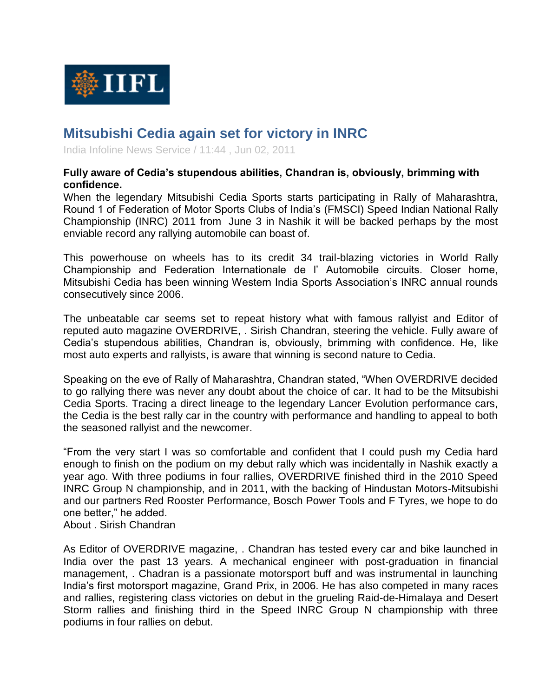

## **Mitsubishi Cedia again set for victory in INRC**

India Infoline News Service / 11:44 , Jun 02, 2011

## **Fully aware of Cedia's stupendous abilities, Chandran is, obviously, brimming with confidence.**

When the legendary Mitsubishi Cedia Sports starts participating in Rally of Maharashtra, Round 1 of Federation of Motor Sports Clubs of India's (FMSCI) Speed Indian National Rally Championship (INRC) 2011 from June 3 in Nashik it will be backed perhaps by the most enviable record any rallying automobile can boast of.

This powerhouse on wheels has to its credit 34 trail-blazing victories in World Rally Championship and Federation Internationale de l' Automobile circuits. Closer home, Mitsubishi Cedia has been winning Western India Sports Association's INRC annual rounds consecutively since 2006.

The unbeatable car seems set to repeat history what with famous rallyist and Editor of reputed auto magazine OVERDRIVE, . Sirish Chandran, steering the vehicle. Fully aware of Cedia's stupendous abilities, Chandran is, obviously, brimming with confidence. He, like most auto experts and rallyists, is aware that winning is second nature to Cedia.

Speaking on the eve of Rally of Maharashtra, Chandran stated, "When OVERDRIVE decided to go rallying there was never any doubt about the choice of car. It had to be the Mitsubishi Cedia Sports. Tracing a direct lineage to the legendary Lancer Evolution performance cars, the Cedia is the best rally car in the country with performance and handling to appeal to both the seasoned rallyist and the newcomer.

"From the very start I was so comfortable and confident that I could push my Cedia hard enough to finish on the podium on my debut rally which was incidentally in Nashik exactly a year ago. With three podiums in four rallies, OVERDRIVE finished third in the 2010 Speed INRC Group N championship, and in 2011, with the backing of Hindustan Motors-Mitsubishi and our partners Red Rooster Performance, Bosch Power Tools and F Tyres, we hope to do one better," he added.

About . Sirish Chandran

As Editor of OVERDRIVE magazine, . Chandran has tested every car and bike launched in India over the past 13 years. A mechanical engineer with post-graduation in financial management, . Chadran is a passionate motorsport buff and was instrumental in launching India's first motorsport magazine, Grand Prix, in 2006. He has also competed in many races and rallies, registering class victories on debut in the grueling Raid-de-Himalaya and Desert Storm rallies and finishing third in the Speed INRC Group N championship with three podiums in four rallies on debut.